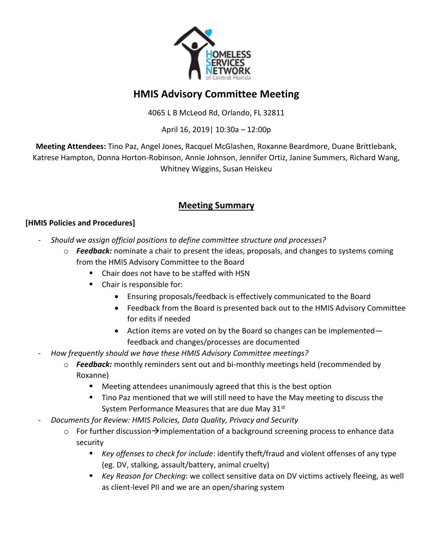

# **HMIS Advisory Committee Meeting**

4065 L B McLeod Rd, Orlando, FL 32811

April 16, 2019| 10:30a – 12:00p

**Meeting Attendees:** Tino Paz, Angel Jones, Racquel McGlashen, Roxanne Beardmore, Duane Brittlebank, Katrese Hampton, Donna Horton-Robinson, Annie Johnson, Jennifer Ortiz, Janine Summers, Richard Wang, Whitney Wiggins, Susan Heiskeu

## **Meeting Summary**

#### **[HMIS Policies and Procedures]**

- *Should we assign official positions to define committee structure and processes?*
	- o *Feedback:* nominate a chair to present the ideas, proposals, and changes to systems coming from the HMIS Advisory Committee to the Board
		- Chair does not have to be staffed with HSN
		- Chair is responsible for:
			- Ensuring proposals/feedback is effectively communicated to the Board
			- Feedback from the Board is presented back out to the HMIS Advisory Committee for edits if needed
			- Action items are voted on by the Board so changes can be implemented feedback and changes/processes are documented
- *How frequently should we have these HMIS Advisory Committee meetings?*
	- o *Feedback:* monthly reminders sent out and bi-monthly meetings held (recommended by Roxanne)
		- Meeting attendees unanimously agreed that this is the best option
		- Tino Paz mentioned that we will still need to have the May meeting to discuss the System Performance Measures that are due May 31st
- *Documents for Review: HMIS Policies, Data Quality, Privacy and Security*
	- $\circ$  For further discussion $\rightarrow$ implementation of a background screening process to enhance data security
		- *Key offenses to check for include*: identify theft/fraud and violent offenses of any type (eg. DV, stalking, assault/battery, animal cruelty)
		- *Key Reason for Checking*: we collect sensitive data on DV victims actively fleeing, as well as client-level PII and we are an open/sharing system